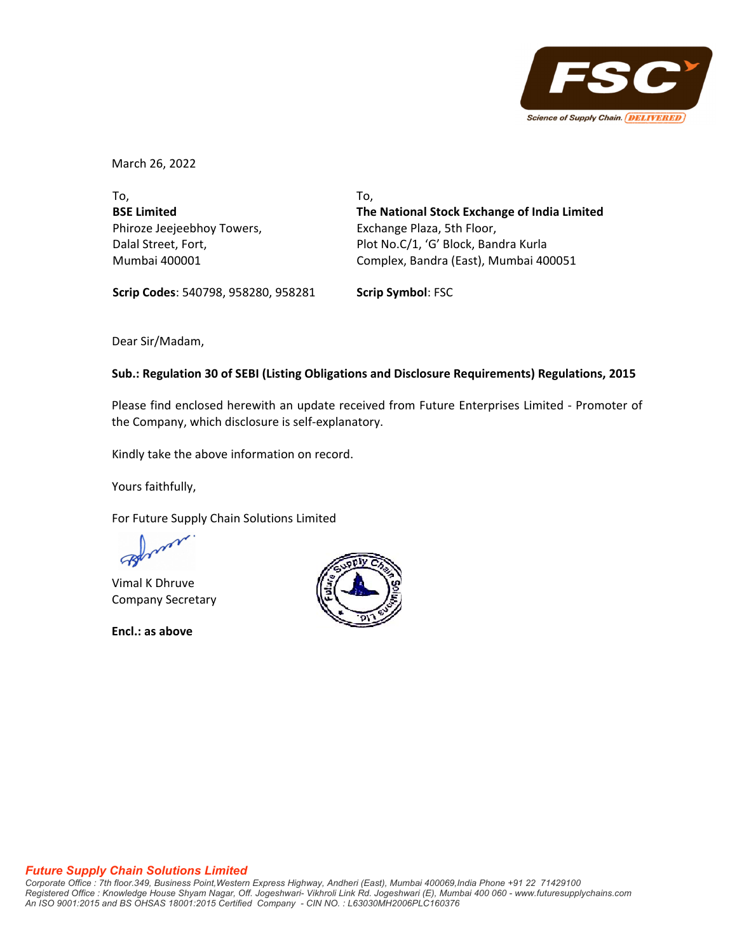

March 26, 2022

To, **BSE Limited** Phiroze Jeejeebhoy Towers, Dalal Street, Fort, Mumbai 400001

To, **The National Stock Exchange of India Limited** Exchange Plaza, 5th Floor, Plot No.C/1, 'G' Block, Bandra Kurla Complex, Bandra (East), Mumbai 400051

**Scrip Codes**: 540798, 958280, 958281 **Scrip Symbol**: FSC

Dear Sir/Madam,

# **Sub.: Regulation 30 of SEBI (Listing Obligations and Disclosure Requirements) Regulations, 2015**

Please find enclosed herewith an update received from Future Enterprises Limited ‐ Promoter of the Company, which disclosure is self‐explanatory.

Kindly take the above information on record.

Yours faithfully,

For Future Supply Chain Solutions Limited

Vimal K Dhruve Company Secretary

**Encl.: as above**



### *Future Supply Chain Solutions Limited*